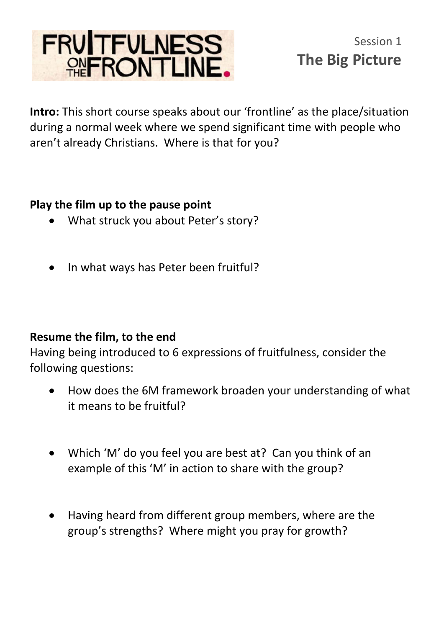

**Intro:** This short course speaks about our 'frontline' as the place/situation during a normal week where we spend significant time with people who aren't already Christians. Where is that for you?

## **Play the film up to the pause point**

- What struck you about Peter's story?
- In what ways has Peter been fruitful?

## **Resume the film, to the end**

Having being introduced to 6 expressions of fruitfulness, consider the following questions:

- How does the 6M framework broaden your understanding of what it means to be fruitful?
- Which 'M' do you feel you are best at? Can you think of an example of this 'M' in action to share with the group?
- Having heard from different group members, where are the group's strengths? Where might you pray for growth?